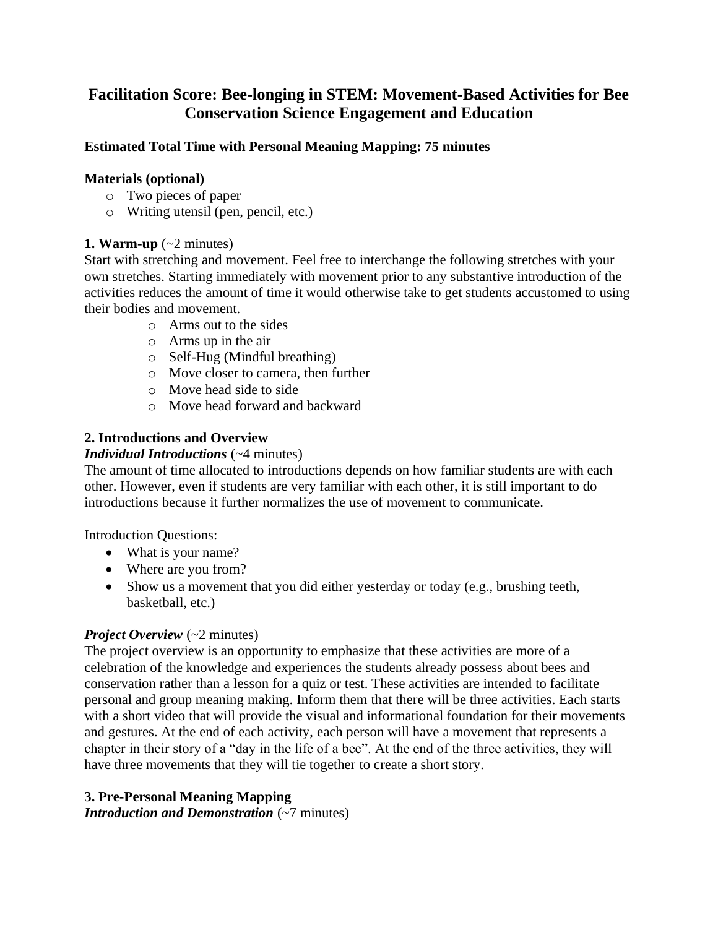# **Facilitation Score: Bee-longing in STEM: Movement-Based Activities for Bee Conservation Science Engagement and Education**

### **Estimated Total Time with Personal Meaning Mapping: 75 minutes**

#### **Materials (optional)**

- o Two pieces of paper
- o Writing utensil (pen, pencil, etc.)

### **1. Warm-up**  $(-2 \text{ minutes})$

Start with stretching and movement. Feel free to interchange the following stretches with your own stretches. Starting immediately with movement prior to any substantive introduction of the activities reduces the amount of time it would otherwise take to get students accustomed to using their bodies and movement.

- o Arms out to the sides
- o Arms up in the air
- o Self-Hug (Mindful breathing)
- o Move closer to camera, then further
- o Move head side to side
- o Move head forward and backward

# **2. Introductions and Overview**

### *Individual Introductions* (~4 minutes)

The amount of time allocated to introductions depends on how familiar students are with each other. However, even if students are very familiar with each other, it is still important to do introductions because it further normalizes the use of movement to communicate.

Introduction Questions:

- What is your name?
- Where are you from?
- Show us a movement that you did either yesterday or today (e.g., brushing teeth, basketball, etc.)

#### *Project Overview* (~2 minutes)

The project overview is an opportunity to emphasize that these activities are more of a celebration of the knowledge and experiences the students already possess about bees and conservation rather than a lesson for a quiz or test. These activities are intended to facilitate personal and group meaning making. Inform them that there will be three activities. Each starts with a short video that will provide the visual and informational foundation for their movements and gestures. At the end of each activity, each person will have a movement that represents a chapter in their story of a "day in the life of a bee". At the end of the three activities, they will have three movements that they will tie together to create a short story.

# **3. Pre-Personal Meaning Mapping**

*Introduction and Demonstration (~7 minutes)*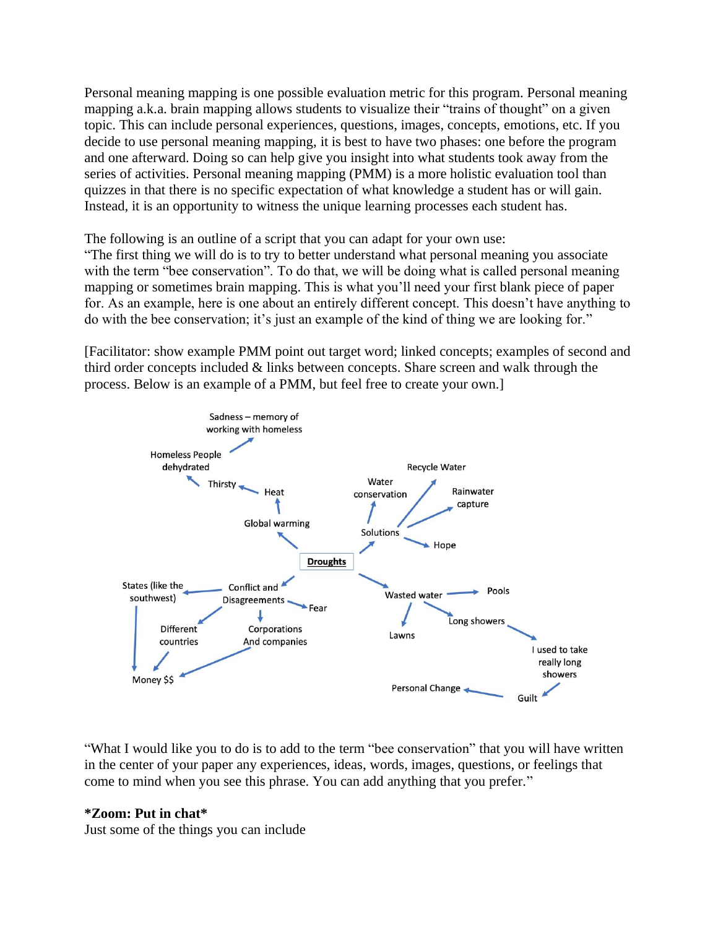Personal meaning mapping is one possible evaluation metric for this program. Personal meaning mapping a.k.a. brain mapping allows students to visualize their "trains of thought" on a given topic. This can include personal experiences, questions, images, concepts, emotions, etc. If you decide to use personal meaning mapping, it is best to have two phases: one before the program and one afterward. Doing so can help give you insight into what students took away from the series of activities. Personal meaning mapping (PMM) is a more holistic evaluation tool than quizzes in that there is no specific expectation of what knowledge a student has or will gain. Instead, it is an opportunity to witness the unique learning processes each student has.

The following is an outline of a script that you can adapt for your own use: "The first thing we will do is to try to better understand what personal meaning you associate with the term "bee conservation". To do that, we will be doing what is called personal meaning mapping or sometimes brain mapping. This is what you'll need your first blank piece of paper for. As an example, here is one about an entirely different concept. This doesn't have anything to do with the bee conservation; it's just an example of the kind of thing we are looking for."

[Facilitator: show example PMM point out target word; linked concepts; examples of second and third order concepts included & links between concepts. Share screen and walk through the process. Below is an example of a PMM, but feel free to create your own.]



"What I would like you to do is to add to the term "bee conservation" that you will have written in the center of your paper any experiences, ideas, words, images, questions, or feelings that come to mind when you see this phrase. You can add anything that you prefer."

#### **\*Zoom: Put in chat\***

Just some of the things you can include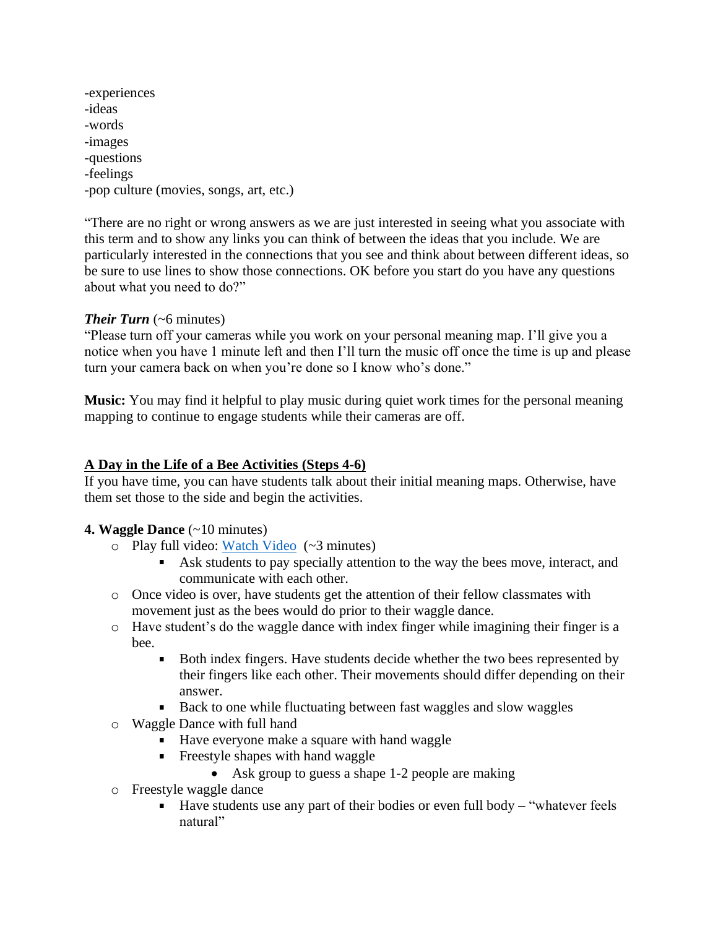-experiences -ideas -words -images -questions -feelings -pop culture (movies, songs, art, etc.)

"There are no right or wrong answers as we are just interested in seeing what you associate with this term and to show any links you can think of between the ideas that you include. We are particularly interested in the connections that you see and think about between different ideas, so be sure to use lines to show those connections. OK before you start do you have any questions about what you need to do?"

### *Their Turn* (~6 minutes)

"Please turn off your cameras while you work on your personal meaning map. I'll give you a notice when you have 1 minute left and then I'll turn the music off once the time is up and please turn your camera back on when you're done so I know who's done."

**Music:** You may find it helpful to play music during quiet work times for the personal meaning mapping to continue to engage students while their cameras are off.

# **A Day in the Life of a Bee Activities (Steps 4-6)**

If you have time, you can have students talk about their initial meaning maps. Otherwise, have them set those to the side and begin the activities.

#### **4. Waggle Dance** (~10 minutes)

- o Play full video: [Watch Video](https://www.youtube.com/watch?v=2p5-NAWE5Lk&ab_channel=RahikArrife) (~3 minutes)
	- Ask students to pay specially attention to the way the bees move, interact, and communicate with each other.
- o Once video is over, have students get the attention of their fellow classmates with movement just as the bees would do prior to their waggle dance.
- o Have student's do the waggle dance with index finger while imagining their finger is a bee.
	- $\blacksquare$ Both index fingers. Have students decide whether the two bees represented by their fingers like each other. Their movements should differ depending on their answer.
	- Back to one while fluctuating between fast waggles and slow waggles  $\blacksquare$
- o Waggle Dance with full hand
	- Have everyone make a square with hand waggle
	- **Figure** Freestyle shapes with hand waggle
		- Ask group to guess a shape 1-2 people are making
- o Freestyle waggle dance
	- $\blacksquare$  Have students use any part of their bodies or even full body "whatever feels" natural"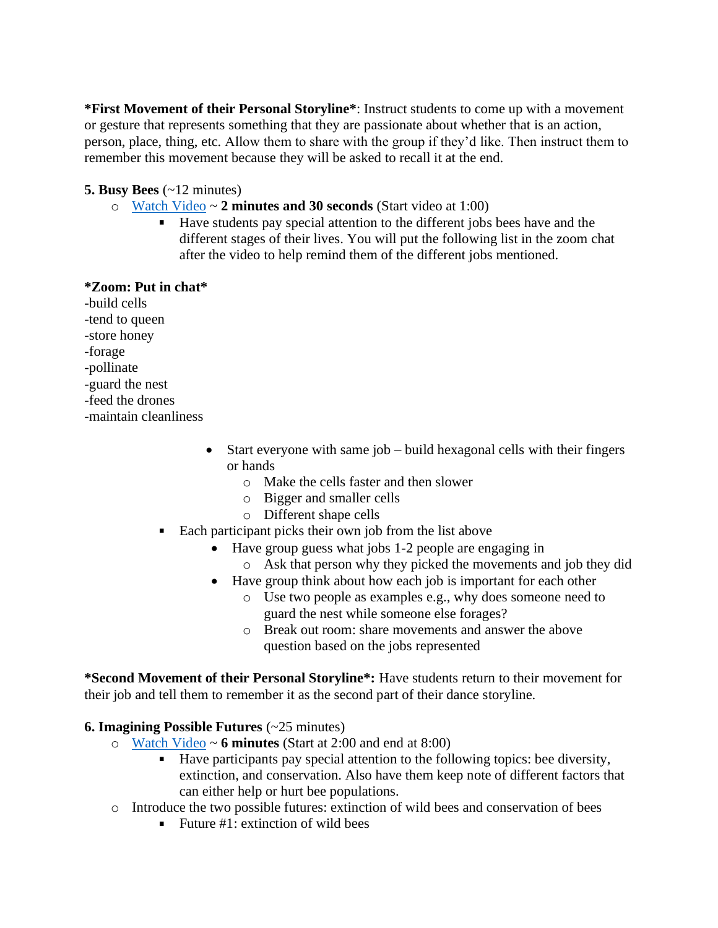**\*First Movement of their Personal Storyline\***: Instruct students to come up with a movement or gesture that represents something that they are passionate about whether that is an action, person, place, thing, etc. Allow them to share with the group if they'd like. Then instruct them to remember this movement because they will be asked to recall it at the end.

# **5. Busy Bees** (~12 minutes)

- o [Watch Video](https://www.youtube.com/watch?v=9ePic3dtykk) ~ **2 minutes and 30 seconds** (Start video at 1:00)
	- Have students pay special attention to the different jobs bees have and the different stages of their lives. You will put the following list in the zoom chat after the video to help remind them of the different jobs mentioned.

# **\*Zoom: Put in chat\***

**-**build cells

- -tend to queen
- -store honey
- -forage
- -pollinate
- -guard the nest
- -feed the drones
- -maintain cleanliness
	- Start everyone with same job build hexagonal cells with their fingers or hands
		- o Make the cells faster and then slower
		- o Bigger and smaller cells
		- o Different shape cells
	- Each participant picks their own job from the list above
		- Have group guess what jobs 1-2 people are engaging in
			- o Ask that person why they picked the movements and job they did
		- Have group think about how each job is important for each other
			- o Use two people as examples e.g., why does someone need to guard the nest while someone else forages?
			- o Break out room: share movements and answer the above question based on the jobs represented

**\*Second Movement of their Personal Storyline\*:** Have students return to their movement for their job and tell them to remember it as the second part of their dance storyline.

# **6. Imagining Possible Futures** (~25 minutes)

- o [Watch Video](https://www.youtube.com/watch?v=VSYgDssQUtA) ~ **6 minutes** (Start at 2:00 and end at 8:00)
	- $\mathbf{u}$  . Have participants pay special attention to the following topics: bee diversity, extinction, and conservation. Also have them keep note of different factors that can either help or hurt bee populations.
- o Introduce the two possible futures: extinction of wild bees and conservation of bees
	- Future #1: extinction of wild bees